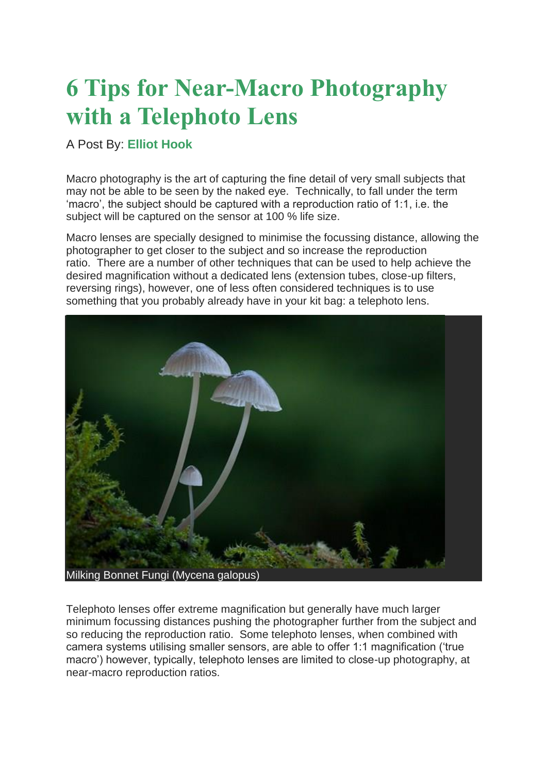## **6 Tips for Near-Macro Photography with a Telephoto Lens**

## A Post By: **[Elliot Hook](https://digital-photography-school.com/author/elliothook/)**

Macro photography is the art of capturing the fine detail of very small subjects that may not be able to be seen by the naked eye. Technically, to fall under the term 'macro', the subject should be captured with a reproduction ratio of 1:1, i.e. the subject will be captured on the sensor at 100 % life size.

Macro lenses are specially designed to minimise the focussing distance, allowing the photographer to get closer to the subject and so increase the reproduction ratio. There are a number of other techniques that can be used to help achieve the desired magnification without a dedicated lens (extension tubes, close-up filters, reversing rings), however, one of less often considered techniques is to use something that you probably already have in your kit bag: a telephoto lens.



Telephoto lenses offer extreme magnification but generally have much larger minimum focussing distances pushing the photographer further from the subject and so reducing the reproduction ratio. Some telephoto lenses, when combined with camera systems utilising smaller sensors, are able to offer 1:1 magnification ('true macro') however, typically, telephoto lenses are limited to close-up photography, at near-macro reproduction ratios.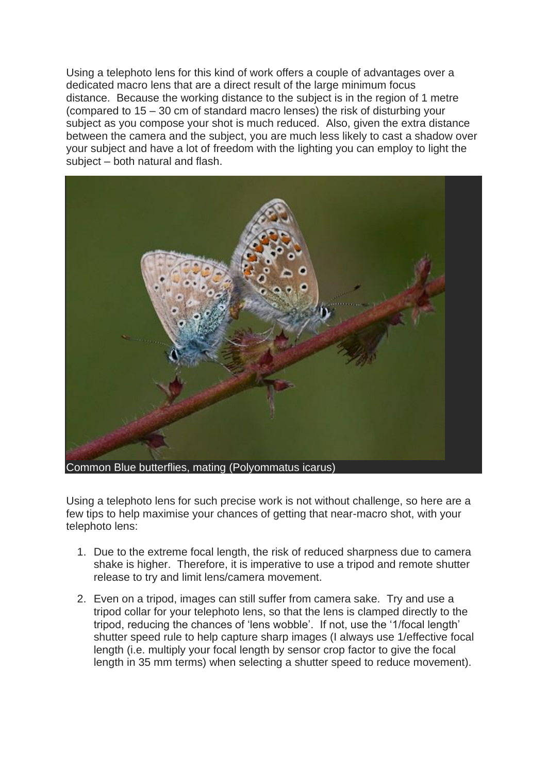Using a telephoto lens for this kind of work offers a couple of advantages over a dedicated macro lens that are a direct result of the large minimum focus distance. Because the working distance to the subject is in the region of 1 metre (compared to 15 – 30 cm of standard macro lenses) the risk of disturbing your subject as you compose your shot is much reduced. Also, given the extra distance between the camera and the subject, you are much less likely to cast a shadow over your subject and have a lot of freedom with the lighting you can employ to light the subject – both natural and flash.



Using a telephoto lens for such precise work is not without challenge, so here are a few tips to help maximise your chances of getting that near-macro shot, with your telephoto lens:

- 1. Due to the extreme focal length, the risk of reduced sharpness due to camera shake is higher. Therefore, it is imperative to use a tripod and remote shutter release to try and limit lens/camera movement.
- 2. Even on a tripod, images can still suffer from camera sake. Try and use a tripod collar for your telephoto lens, so that the lens is clamped directly to the tripod, reducing the chances of 'lens wobble'. If not, use the '1/focal length' shutter speed rule to help capture sharp images (I always use 1/effective focal length (i.e. multiply your focal length by sensor crop factor to give the focal length in 35 mm terms) when selecting a shutter speed to reduce movement).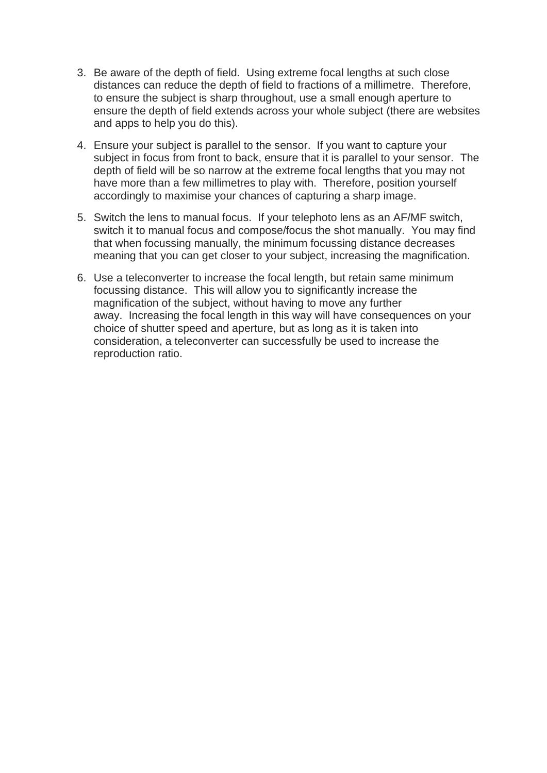- 3. Be aware of the depth of field. Using extreme focal lengths at such close distances can reduce the depth of field to fractions of a millimetre. Therefore, to ensure the subject is sharp throughout, use a small enough aperture to ensure the depth of field extends across your whole subject (there are websites and apps to help you do this).
- 4. Ensure your subject is parallel to the sensor. If you want to capture your subject in focus from front to back, ensure that it is parallel to your sensor. The depth of field will be so narrow at the extreme focal lengths that you may not have more than a few millimetres to play with. Therefore, position yourself accordingly to maximise your chances of capturing a sharp image.
- 5. Switch the lens to manual focus. If your telephoto lens as an AF/MF switch, switch it to manual focus and compose/focus the shot manually. You may find that when focussing manually, the minimum focussing distance decreases meaning that you can get closer to your subject, increasing the magnification.
- 6. Use a teleconverter to increase the focal length, but retain same minimum focussing distance. This will allow you to significantly increase the magnification of the subject, without having to move any further away. Increasing the focal length in this way will have consequences on your choice of shutter speed and aperture, but as long as it is taken into consideration, a teleconverter can successfully be used to increase the reproduction ratio.